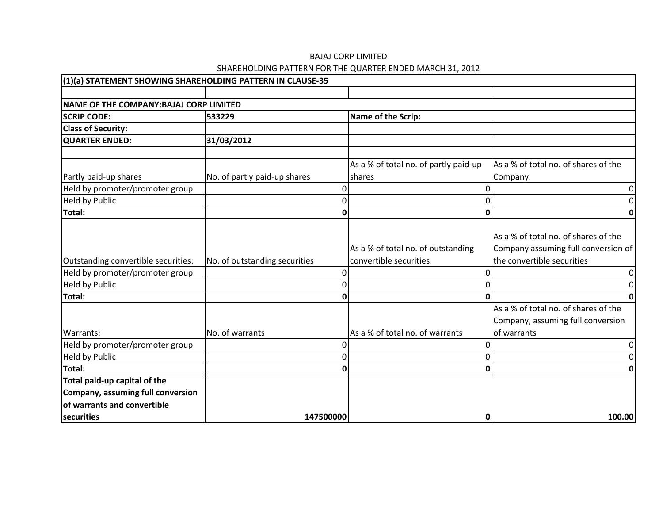| (1)(a) STATEMENT SHOWING SHAREHOLDING PATTERN IN CLAUSE-35 |                               |                                                               |                                                                                                           |
|------------------------------------------------------------|-------------------------------|---------------------------------------------------------------|-----------------------------------------------------------------------------------------------------------|
|                                                            |                               |                                                               |                                                                                                           |
| NAME OF THE COMPANY: BAJAJ CORP LIMITED                    |                               |                                                               |                                                                                                           |
| <b>SCRIP CODE:</b>                                         | 533229                        | Name of the Scrip:                                            |                                                                                                           |
| <b>Class of Security:</b>                                  |                               |                                                               |                                                                                                           |
| <b>QUARTER ENDED:</b>                                      | 31/03/2012                    |                                                               |                                                                                                           |
|                                                            |                               | As a % of total no. of partly paid-up                         | As a % of total no. of shares of the                                                                      |
| Partly paid-up shares                                      | No. of partly paid-up shares  | shares                                                        | Company.                                                                                                  |
| Held by promoter/promoter group                            | 0                             |                                                               |                                                                                                           |
| <b>Held by Public</b>                                      | 0                             |                                                               |                                                                                                           |
| Total:                                                     | Ω                             |                                                               |                                                                                                           |
| Outstanding convertible securities:                        | No. of outstanding securities | As a % of total no. of outstanding<br>convertible securities. | As a % of total no. of shares of the<br>Company assuming full conversion of<br>the convertible securities |
| Held by promoter/promoter group                            | 0                             |                                                               |                                                                                                           |
| <b>Held by Public</b>                                      | $\Omega$                      |                                                               |                                                                                                           |
| Total:                                                     |                               |                                                               |                                                                                                           |
| Warrants:                                                  | No. of warrants               | As a % of total no. of warrants                               | As a % of total no. of shares of the<br>Company, assuming full conversion<br>of warrants                  |
| Held by promoter/promoter group                            |                               |                                                               |                                                                                                           |
| <b>Held by Public</b>                                      | O                             |                                                               |                                                                                                           |
| <b>Total:</b>                                              |                               |                                                               |                                                                                                           |
| Total paid-up capital of the                               |                               |                                                               |                                                                                                           |
| Company, assuming full conversion                          |                               |                                                               |                                                                                                           |
| of warrants and convertible                                |                               |                                                               |                                                                                                           |
| securities                                                 | 147500000                     | 0                                                             | 100.00                                                                                                    |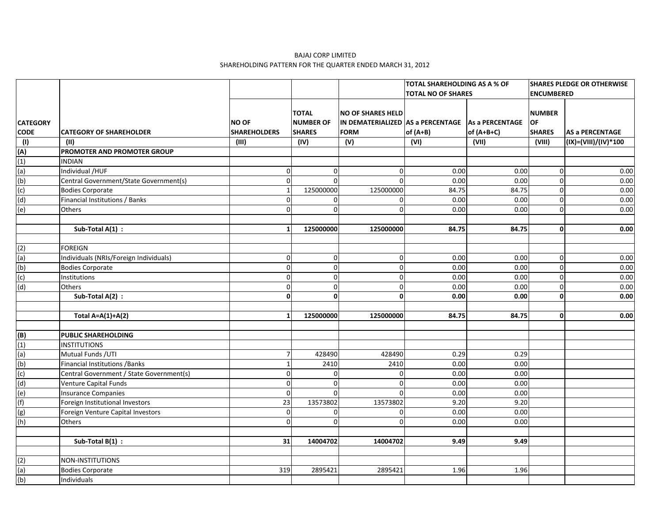|                 |                                          |                     |                  |                                                   | <b>TOTAL SHAREHOLDING AS A % OF</b> |              | <b>SHARES PLEDGE OR OTHERWISE</b> |                        |
|-----------------|------------------------------------------|---------------------|------------------|---------------------------------------------------|-------------------------------------|--------------|-----------------------------------|------------------------|
|                 |                                          |                     |                  |                                                   | <b>TOTAL NO OF SHARES</b>           |              | <b>ENCUMBERED</b>                 |                        |
|                 |                                          |                     |                  |                                                   |                                     |              |                                   |                        |
|                 |                                          |                     | <b>TOTAL</b>     | <b>NO OF SHARES HELD</b>                          |                                     |              | <b>NUMBER</b>                     |                        |
| <b>CATEGORY</b> |                                          | <b>NO OF</b>        | <b>NUMBER OF</b> | IN DEMATERIALIZED AS a PERCENTAGE As a PERCENTAGE |                                     |              | <b>OF</b>                         |                        |
| <b>CODE</b>     | <b>CATEGORY OF SHAREHOLDER</b>           | <b>SHAREHOLDERS</b> | <b>SHARES</b>    | <b>FORM</b>                                       | $of (A+B)$                          | of $(A+B+C)$ | <b>SHARES</b>                     | <b>AS a PERCENTAGE</b> |
| (1)             | (11)                                     | (III)               | (IV)             | (V)                                               | (VI)                                | (VII)        | (VIII)                            | (IX)=(VIII)/(IV)*100   |
| (A)             | PROMOTER AND PROMOTER GROUP              |                     |                  |                                                   |                                     |              |                                   |                        |
| (1)             | <b>INDIAN</b>                            |                     |                  |                                                   |                                     |              |                                   |                        |
| (a)             | Individual /HUF                          | $\Omega$            | $\mathbf 0$      | $\mathbf{0}$                                      | 0.00                                | 0.00         | $\Omega$                          | 0.00                   |
| (b)             | Central Government/State Government(s)   | $\Omega$            | $\Omega$         | $\Omega$                                          | 0.00                                | 0.00         | $\Omega$                          | 0.00                   |
| (c)             | <b>Bodies Corporate</b>                  |                     | 125000000        | 125000000                                         | 84.75                               | 84.75        | $\Omega$                          | 0.00                   |
| (d)             | Financial Institutions / Banks           | $\Omega$            | $\mathbf 0$      | $\overline{0}$                                    | 0.00                                | 0.00         | $\Omega$                          | $0.00\,$               |
| (e)             | Others                                   | $\Omega$            | $\Omega$         | $\mathbf 0$                                       | 0.00                                | 0.00         | $\Omega$                          | 0.00                   |
|                 |                                          |                     |                  |                                                   |                                     |              |                                   |                        |
|                 | Sub-Total A(1) :                         |                     | 125000000        | 125000000                                         | 84.75                               | 84.75        | $\mathbf{0}$                      | 0.00                   |
|                 |                                          |                     |                  |                                                   |                                     |              |                                   |                        |
| (2)             | FOREIGN                                  |                     |                  |                                                   |                                     |              |                                   |                        |
| (a)             | Individuals (NRIs/Foreign Individuals)   | $\Omega$            | $\mathbf 0$      | $\pmb{0}$                                         | 0.00                                | 0.00         | $\Omega$                          | 0.00                   |
| (b)             | <b>Bodies Corporate</b>                  | $\Omega$            | 0                | $\mathbf{0}$                                      | 0.00                                | 0.00         | $\Omega$                          | 0.00                   |
| (c)             | Institutions                             | $\Omega$            | $\mathbf 0$      | $\mathbf{0}$                                      | 0.00                                | 0.00         | $\Omega$                          | 0.00                   |
| (d)             | Others                                   | $\Omega$            | $\mathbf 0$      | $\mathbf 0$                                       | 0.00                                | 0.00         | $\Omega$                          | $0.00\,$               |
|                 | Sub-Total A(2) :                         | 0                   | 0                | $\mathbf{0}$                                      | 0.00                                | 0.00         | $\Omega$                          | 0.00                   |
|                 |                                          |                     |                  |                                                   |                                     |              |                                   |                        |
|                 | Total $A=A(1)+A(2)$                      |                     | 125000000        | 125000000                                         | 84.75                               | 84.75        | 0                                 | 0.00                   |
|                 |                                          |                     |                  |                                                   |                                     |              |                                   |                        |
| (B)             | <b>PUBLIC SHAREHOLDING</b>               |                     |                  |                                                   |                                     |              |                                   |                        |
| (1)             | <b>INSTITUTIONS</b>                      |                     |                  |                                                   |                                     |              |                                   |                        |
| (a)             | Mutual Funds / UTI                       |                     | 428490           | 428490                                            | 0.29                                | 0.29         |                                   |                        |
| (b)             | <b>Financial Institutions / Banks</b>    |                     | 2410             | 2410                                              | 0.00                                | 0.00         |                                   |                        |
| (c)             | Central Government / State Government(s) | $\Omega$            | $\Omega$         | $\mathbf 0$                                       | 0.00                                | 0.00         |                                   |                        |
| (d)             | <b>Venture Capital Funds</b>             | $\Omega$            | $\Omega$         | $\mathbf 0$                                       | 0.00                                | 0.00         |                                   |                        |
| (e)             | <b>Insurance Companies</b>               | $\Omega$            | $\Omega$         | $\Omega$                                          | 0.00                                | 0.00         |                                   |                        |
| (f)             | Foreign Institutional Investors          | 23                  | 13573802         | 13573802                                          | 9.20                                | 9.20         |                                   |                        |
| (g)             | Foreign Venture Capital Investors        | $\Omega$            | 0                | $\mathbf 0$                                       | 0.00                                | 0.00         |                                   |                        |
| (h)             | Others                                   | $\Omega$            | $\Omega$         | $\overline{0}$                                    | 0.00                                | 0.00         |                                   |                        |
|                 |                                          |                     |                  |                                                   |                                     |              |                                   |                        |
|                 | Sub-Total B(1) :                         | 31                  | 14004702         | 14004702                                          | 9.49                                | 9.49         |                                   |                        |
|                 |                                          |                     |                  |                                                   |                                     |              |                                   |                        |
| (2)             | NON-INSTITUTIONS                         |                     |                  |                                                   |                                     |              |                                   |                        |
| (a)             | <b>Bodies Corporate</b>                  | 319                 | 2895421          | 2895421                                           | 1.96                                | 1.96         |                                   |                        |
| (b)             | Individuals                              |                     |                  |                                                   |                                     |              |                                   |                        |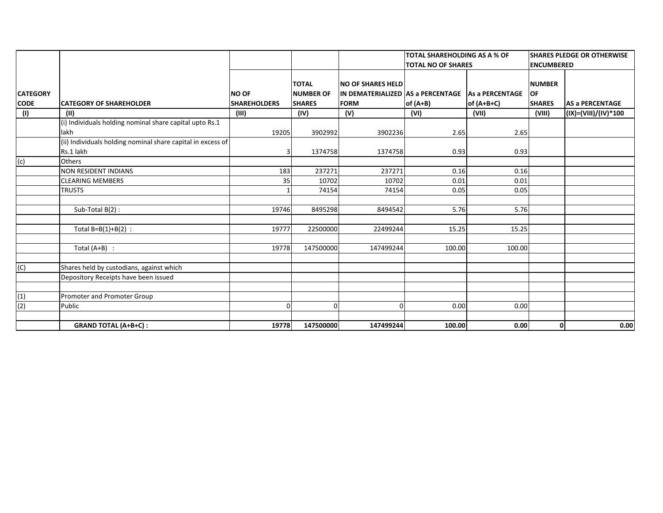|                 |                                                             |                     |                                  |                                                               | <b>TOTAL SHAREHOLDING AS A % OF</b> |                        | <b>SHARES PLEDGE OR OTHERWISE</b> |                        |  |
|-----------------|-------------------------------------------------------------|---------------------|----------------------------------|---------------------------------------------------------------|-------------------------------------|------------------------|-----------------------------------|------------------------|--|
|                 |                                                             |                     |                                  |                                                               | <b>TOTAL NO OF SHARES</b>           |                        | <b>ENCUMBERED</b>                 |                        |  |
| <b>CATEGORY</b> |                                                             | <b>NO OF</b>        | <b>TOTAL</b><br><b>NUMBER OF</b> | <b>NO OF SHARES HELD</b><br>IN DEMATERIALIZED AS a PERCENTAGE |                                     | <b>As a PERCENTAGE</b> | <b>NUMBER</b><br>OF               |                        |  |
| <b>CODE</b>     | <b>CATEGORY OF SHAREHOLDER</b>                              | <b>SHAREHOLDERS</b> | <b>SHARES</b>                    | <b>FORM</b>                                                   | of (A+B)                            | of $(A+B+C)$           | <b>SHARES</b>                     | <b>AS a PERCENTAGE</b> |  |
| (1)             | (11)                                                        | (III)               | (IV)                             | (V)                                                           | (VI)                                | (VII)                  | (VIII)                            | (IX)=(VIII)/(IV)*100   |  |
|                 | (i) Individuals holding nominal share capital upto Rs.1     |                     |                                  |                                                               |                                     |                        |                                   |                        |  |
|                 | lakh                                                        | 19205               | 3902992                          | 3902236                                                       | 2.65                                | 2.65                   |                                   |                        |  |
|                 | (ii) Individuals holding nominal share capital in excess of |                     |                                  |                                                               |                                     |                        |                                   |                        |  |
|                 | Rs.1 lakh                                                   |                     | 1374758                          | 1374758                                                       | 0.93                                | 0.93                   |                                   |                        |  |
| (c)             | Others                                                      |                     |                                  |                                                               |                                     |                        |                                   |                        |  |
|                 | <b>NON RESIDENT INDIANS</b>                                 | 183                 | 237271                           | 237271                                                        | 0.16                                | 0.16                   |                                   |                        |  |
|                 | <b>CLEARING MEMBERS</b>                                     | 35                  | 10702                            | 10702                                                         | 0.01                                | 0.01                   |                                   |                        |  |
|                 | <b>TRUSTS</b>                                               |                     | 74154                            | 74154                                                         | 0.05                                | 0.05                   |                                   |                        |  |
|                 |                                                             |                     |                                  |                                                               |                                     |                        |                                   |                        |  |
|                 | Sub-Total B(2):                                             | 19746               | 8495298                          | 8494542                                                       | 5.76                                | 5.76                   |                                   |                        |  |
|                 |                                                             |                     |                                  |                                                               |                                     |                        |                                   |                        |  |
|                 | Total $B=B(1)+B(2)$ :                                       | 19777               | 22500000                         | 22499244                                                      | 15.25                               | 15.25                  |                                   |                        |  |
|                 |                                                             |                     |                                  |                                                               |                                     |                        |                                   |                        |  |
|                 | Total $(A+B)$ :                                             | 19778               | 147500000                        | 147499244                                                     | 100.00                              | 100.00                 |                                   |                        |  |
|                 |                                                             |                     |                                  |                                                               |                                     |                        |                                   |                        |  |
| (C)             | Shares held by custodians, against which                    |                     |                                  |                                                               |                                     |                        |                                   |                        |  |
|                 | Depository Receipts have been issued                        |                     |                                  |                                                               |                                     |                        |                                   |                        |  |
|                 |                                                             |                     |                                  |                                                               |                                     |                        |                                   |                        |  |
| (1)             | Promoter and Promoter Group                                 |                     |                                  |                                                               |                                     |                        |                                   |                        |  |
| (2)             | Public                                                      | $\Omega$            | $\Omega$                         | n                                                             | 0.00                                | 0.00                   |                                   |                        |  |
|                 |                                                             |                     |                                  |                                                               |                                     |                        |                                   |                        |  |
|                 | <b>GRAND TOTAL (A+B+C):</b>                                 | 19778               | 147500000                        | 147499244                                                     | 100.00                              | 0.00                   | 0                                 | 0.00                   |  |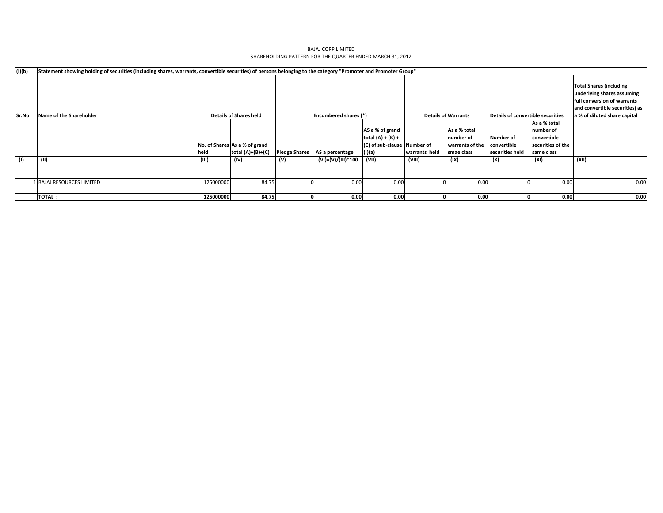| (I)(b) | Statement showing holding of securities (including shares, warrants, convertible securities) of persons belonging to the category "Promoter and Promoter Group" |           |                               |                      |                                                                 |                             |               |                 |                                                                                                                               |                   |                              |
|--------|-----------------------------------------------------------------------------------------------------------------------------------------------------------------|-----------|-------------------------------|----------------------|-----------------------------------------------------------------|-----------------------------|---------------|-----------------|-------------------------------------------------------------------------------------------------------------------------------|-------------------|------------------------------|
|        |                                                                                                                                                                 |           |                               |                      | <b>Details of Warrants</b><br>Details of convertible securities |                             |               |                 | <b>Total Shares (including</b><br>underlying shares assuming<br>full conversion of warrants<br>and convertible securities) as |                   |                              |
| Sr.No  | Name of the Shareholder                                                                                                                                         |           | <b>Details of Shares held</b> |                      | Encumbered shares (*)                                           |                             |               |                 |                                                                                                                               |                   | a % of diluted share capital |
|        |                                                                                                                                                                 |           |                               |                      |                                                                 |                             |               |                 |                                                                                                                               | As a % total      |                              |
|        |                                                                                                                                                                 |           |                               |                      |                                                                 | AS a % of grand             |               | As a % total    |                                                                                                                               | number of         |                              |
|        |                                                                                                                                                                 |           |                               |                      |                                                                 | total $(A) + (B) +$         |               | number of       | Number of                                                                                                                     | convertible       |                              |
|        |                                                                                                                                                                 |           | No. of Shares As a % of grand |                      |                                                                 | (C) of sub-clause Number of |               | warrants of the | convertible                                                                                                                   | securities of the |                              |
|        |                                                                                                                                                                 | held      | total $(A)+(B)+(C)$           | <b>Pledge Shares</b> | AS a percentage                                                 | (I)(a)                      | warrants held | smae class      | securities held                                                                                                               | same class        |                              |
| (1)    | (II)                                                                                                                                                            | (III)     | (IV)                          | (V)                  | (VI)=(V)/(III)*100                                              | (VII)                       | (VIII)        | (IX)            | (X)                                                                                                                           | (XI)              | (XII)                        |
|        |                                                                                                                                                                 |           |                               |                      |                                                                 |                             |               |                 |                                                                                                                               |                   |                              |
|        |                                                                                                                                                                 |           |                               |                      |                                                                 |                             |               |                 |                                                                                                                               |                   |                              |
|        | BAJAJ RESOURCES LIMITED                                                                                                                                         | 125000000 | 84.75                         |                      | 0.00                                                            | 0.00                        |               | 0.00            |                                                                                                                               | 0.00              | 0.00                         |
|        |                                                                                                                                                                 |           |                               |                      |                                                                 |                             |               |                 |                                                                                                                               |                   |                              |
|        | <b>TOTAL:</b>                                                                                                                                                   | 125000000 | 84.75                         |                      | 0.00                                                            | 0.00                        |               | 0.00            |                                                                                                                               | 0.00              | 0.00                         |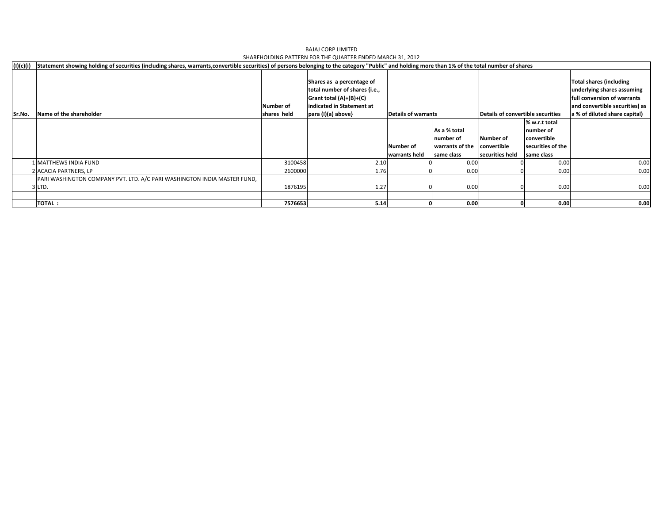| (I)(c)(i) | Statement showing holding of securities (including shares, warrants,convertible securities) of persons belonging to the category "Public" and holding more than 1% of the total number of shares |                          |                                                                                                                                            |                                                          |                                                            |                                                                                  |                                                                              |                                                                                                                                                                |
|-----------|--------------------------------------------------------------------------------------------------------------------------------------------------------------------------------------------------|--------------------------|--------------------------------------------------------------------------------------------------------------------------------------------|----------------------------------------------------------|------------------------------------------------------------|----------------------------------------------------------------------------------|------------------------------------------------------------------------------|----------------------------------------------------------------------------------------------------------------------------------------------------------------|
| Sr.No.    | Name of the shareholder                                                                                                                                                                          | Number of<br>shares held | Shares as a percentage of<br>total number of shares {i.e.,<br>Grant total $(A)+(B)+(C)$<br>indicated in Statement at<br>para (I)(a) above} | <b>Details of warrants</b><br>Number of<br>warrants held | As a % total<br>number of<br>warrants of the<br>same class | Details of convertible securities<br>Number of<br>convertible<br>securities held | % w.r.t total<br>number of<br>convertible<br>securities of the<br>same class | <b>Total shares (including</b><br>underlying shares assuming<br>full conversion of warrants<br>and convertible securities) as<br>a % of diluted share capital) |
|           | L MATTHEWS INDIA FUND                                                                                                                                                                            | 3100458                  | 2.10                                                                                                                                       |                                                          | 0.00                                                       |                                                                                  | 0.00                                                                         | 0.00                                                                                                                                                           |
|           | 2 ACACIA PARTNERS, LP                                                                                                                                                                            | 2600000                  | 1.76                                                                                                                                       |                                                          | 0.00                                                       |                                                                                  | 0.00                                                                         | 0.00                                                                                                                                                           |
|           | PARI WASHINGTON COMPANY PVT. LTD. A/C PARI WASHINGTON INDIA MASTER FUND,<br>3 LTD.                                                                                                               | 1876195                  | 1.27                                                                                                                                       |                                                          | 0.00                                                       |                                                                                  | 0.00                                                                         | 0.00                                                                                                                                                           |
|           |                                                                                                                                                                                                  |                          |                                                                                                                                            |                                                          |                                                            |                                                                                  |                                                                              |                                                                                                                                                                |
|           | <b>TOTAL:</b>                                                                                                                                                                                    | 7576653                  | 5.14                                                                                                                                       |                                                          | 0.00                                                       |                                                                                  | 0.00                                                                         | 0.00                                                                                                                                                           |

BAJAJ CORP LIMITEDSHAREHOLDING PATTERN FOR THE QUARTER ENDED MARCH 31, 2012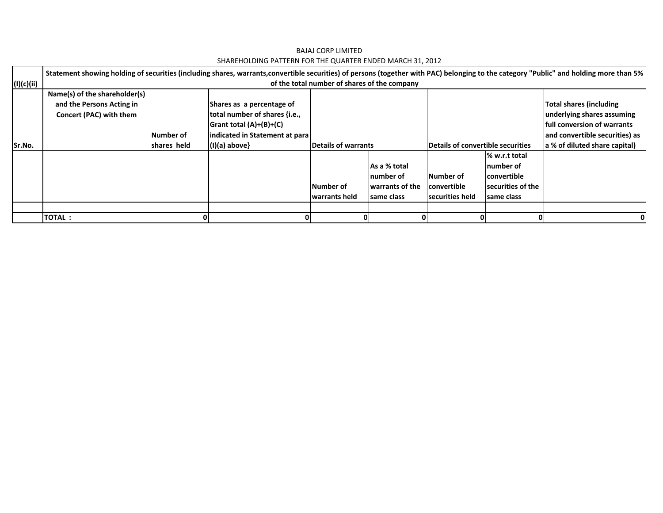|            | Statement showing holding of securities (including shares, warrants,convertible securities) of persons (together with PAC) belonging to the category "Public" and holding more than 5% |             |                                |                                              |                 |                                   |                   |                                     |  |
|------------|----------------------------------------------------------------------------------------------------------------------------------------------------------------------------------------|-------------|--------------------------------|----------------------------------------------|-----------------|-----------------------------------|-------------------|-------------------------------------|--|
| (I)(c)(ii) |                                                                                                                                                                                        |             |                                | of the total number of shares of the company |                 |                                   |                   |                                     |  |
|            | Name(s) of the shareholder(s)                                                                                                                                                          |             |                                |                                              |                 |                                   |                   |                                     |  |
|            | and the Persons Acting in                                                                                                                                                              |             | Shares as a percentage of      |                                              |                 |                                   |                   | Total shares (including             |  |
|            | Concert (PAC) with them                                                                                                                                                                |             | total number of shares {i.e.,  |                                              |                 |                                   |                   | underlying shares assuming          |  |
|            |                                                                                                                                                                                        |             | Grant total (A)+(B)+(C)        |                                              |                 |                                   |                   | <b>Ifull conversion of warrants</b> |  |
|            |                                                                                                                                                                                        | Number of   | indicated in Statement at para |                                              |                 |                                   |                   | and convertible securities) as      |  |
| Sr.No.     |                                                                                                                                                                                        | shares held | $(I)(a)$ above}                | Details of warrants                          |                 | Details of convertible securities |                   | a % of diluted share capital)       |  |
|            |                                                                                                                                                                                        |             |                                |                                              |                 |                                   | % w.r.t total     |                                     |  |
|            |                                                                                                                                                                                        |             |                                |                                              | As a % total    |                                   | number of         |                                     |  |
|            |                                                                                                                                                                                        |             |                                |                                              | Inumber of      | Number of                         | lconvertible      |                                     |  |
|            |                                                                                                                                                                                        |             |                                | Number of                                    | warrants of the | <b>convertible</b>                | securities of the |                                     |  |
|            |                                                                                                                                                                                        |             |                                | warrants held                                | Isame class     | <b>Isecurities held</b>           | same class        |                                     |  |
|            |                                                                                                                                                                                        |             |                                |                                              |                 |                                   |                   |                                     |  |
|            | <b>TOTAL:</b>                                                                                                                                                                          |             |                                |                                              |                 |                                   |                   |                                     |  |

BAJAJ CORP LIMITED SHAREHOLDING PATTERN FOR THE QUARTER ENDED MARCH 31, 2012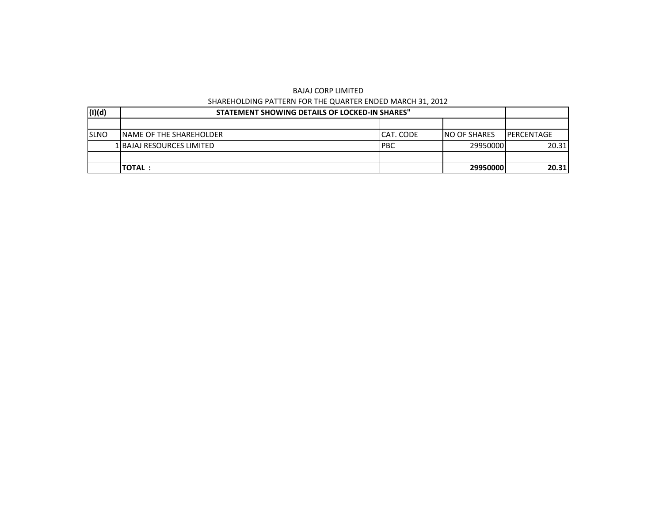| (1)(d)       | STATEMENT SHOWING DETAILS OF LOCKED-IN SHARES" |           |                     |                    |
|--------------|------------------------------------------------|-----------|---------------------|--------------------|
|              |                                                |           |                     |                    |
| <b>ISLNO</b> | <b>INAME OF THE SHAREHOLDER</b>                | CAT. CODE | <b>NO OF SHARES</b> | <b>IPERCENTAGE</b> |
|              | 1 BAJAJ RESOURCES LIMITED                      | IPBC      | 29950000            | 20.31              |
|              |                                                |           |                     |                    |
|              | <b>TOTAL:</b>                                  |           | 29950000            | 20.31              |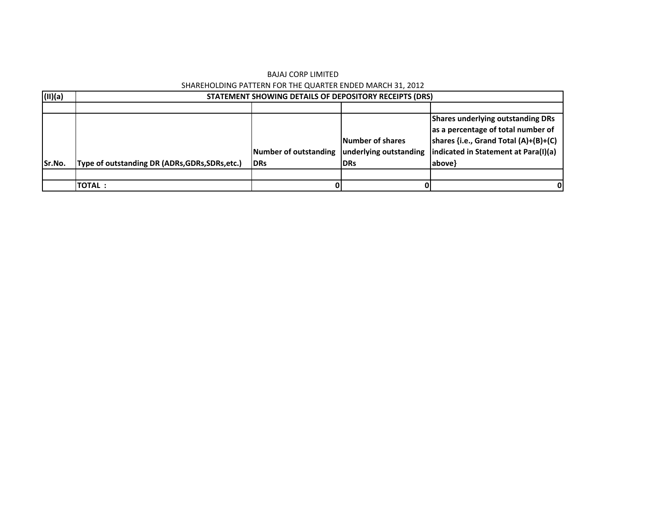| (II)(a) |                                                 | STATEMENT SHOWING DETAILS OF DEPOSITORY RECEIPTS (DRS) |                                                                 |                                                                                                                                                                           |
|---------|-------------------------------------------------|--------------------------------------------------------|-----------------------------------------------------------------|---------------------------------------------------------------------------------------------------------------------------------------------------------------------------|
|         |                                                 |                                                        |                                                                 |                                                                                                                                                                           |
| Sr.No.  | Type of outstanding DR (ADRs, GDRs, SDRs, etc.) | Number of outstanding<br><b>IDRs</b>                   | <b>Number of shares</b><br>underlying outstanding<br><b>DRs</b> | <b>Shares underlying outstanding DRs</b><br>as a percentage of total number of<br>shares {i.e., Grand Total (A)+(B)+(C)<br>indicated in Statement at Para(I)(a)<br>above} |
|         |                                                 |                                                        |                                                                 |                                                                                                                                                                           |
|         | <b>ITOTAL :</b>                                 |                                                        |                                                                 |                                                                                                                                                                           |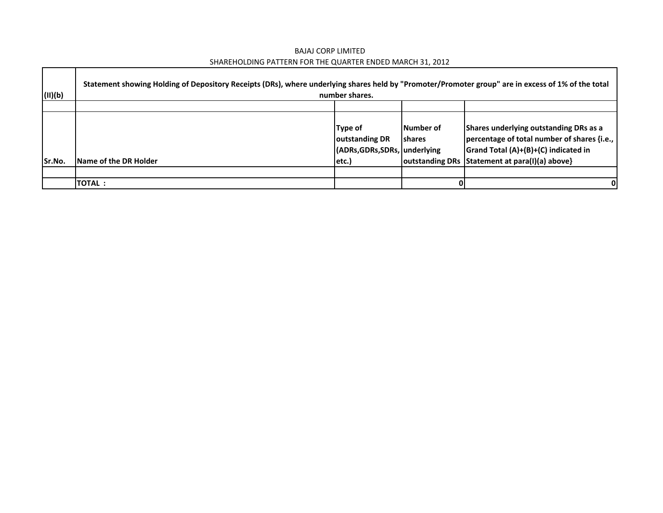BAJAJ CORP LIMITED SHAREHOLDING PATTERN FOR THE QUARTER ENDED MARCH 31, 2012

 $\Gamma$ 

| (II)(b) | Statement showing Holding of Depository Receipts (DRs), where underlying shares held by "Promoter/Promoter group" are in excess of 1% of the total<br>number shares. |                                                                             |                             |                                                                                                                                                                                   |  |  |  |  |  |
|---------|----------------------------------------------------------------------------------------------------------------------------------------------------------------------|-----------------------------------------------------------------------------|-----------------------------|-----------------------------------------------------------------------------------------------------------------------------------------------------------------------------------|--|--|--|--|--|
|         |                                                                                                                                                                      |                                                                             |                             |                                                                                                                                                                                   |  |  |  |  |  |
| Sr.No.  | <b>Name of the DR Holder</b>                                                                                                                                         | Type of<br><b>Joutstanding DR</b><br>(ADRs, GDRs, SDRs, underlying<br>etc.) | Number of<br><b>Ishares</b> | Shares underlying outstanding DRs as a<br>percentage of total number of shares {i.e.,  <br>Grand Total (A)+(B)+(C) indicated in<br>outstanding DRs Statement at para(I)(a) above} |  |  |  |  |  |
|         |                                                                                                                                                                      |                                                                             |                             |                                                                                                                                                                                   |  |  |  |  |  |
|         | <b>TOTAL:</b>                                                                                                                                                        |                                                                             | 01                          | 0                                                                                                                                                                                 |  |  |  |  |  |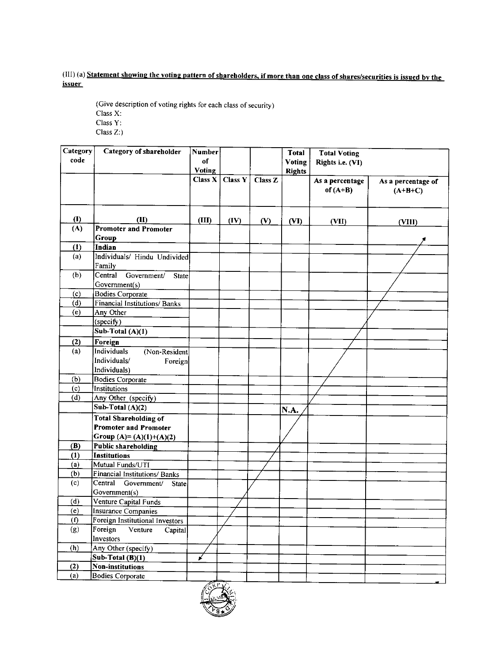# (III) (a) Statement showing the voting pattern of shareholders, if more than one class of shares/securities is issued by the **issuer**

(Give description of voting rights for each class of security) Class  $\mathbf{X}$  :  $\textbf{Class}\ \textbf{Y}$  :

 $Class Z$ :)

| code<br>of<br>Voting<br>Rights i.e. (VI)<br><b>Voting</b><br><b>Rights</b><br>Class X<br><b>Class Y</b><br>Class Z<br>As a percentage<br>As a percentage of<br>of $(A+B)$<br>$(A+B+C)$<br>(1)<br>(II)<br>(III)<br>(IV)<br>(V)<br>(VI)<br>(VII)<br>(VIII)<br>(A)<br><b>Promoter and Promoter</b><br>Group<br>Indian<br>(1)<br>Individuals/ Hindu Undivided<br>(a)<br>Family<br>Central<br>(b)<br>Government/<br><b>State</b><br>Government(s)<br><b>Bodies Corporate</b><br>(c)<br><b>Financial Institutions/Banks</b><br>(d)<br>(e)<br>Any Other<br>(specify)<br>Sub-Total (A)(1)<br>(2)<br>Foreign<br><b>Individuals</b><br>(a)<br>(Non-Resident<br>Individuals/<br>Foreign<br>Individuals)<br>(b)<br><b>Bodies</b> Corporate<br>(c)<br>Institutions<br>(d)<br>Any Other (specify)<br>Sub-Total (A)(2)<br>N.A.<br><b>Total Shareholding of</b><br><b>Promoter and Promoter</b><br>Group (A)= (A)(1)+(A)(2)<br><b>Public shareholding</b><br>(B)<br><b>Institutions</b><br>(1)<br>Mutual Funds/UTI<br>(a)<br>(b)<br>Financial Institutions/ Banks<br>(c)<br>Central<br>Government/<br>State<br>Government(s)<br>(d)<br>Venture Capital Funds<br>(e)<br>Insurance Companies<br>(f)<br><b>Foreign Institutional Investors</b><br>(g)<br>Foreign<br>Venture<br>Capital<br>Investors<br>(h)<br>Any Other (specify) | Category | Category of shareholder | Number |  | <b>Total</b> | <b>Total Voting</b> |  |
|----------------------------------------------------------------------------------------------------------------------------------------------------------------------------------------------------------------------------------------------------------------------------------------------------------------------------------------------------------------------------------------------------------------------------------------------------------------------------------------------------------------------------------------------------------------------------------------------------------------------------------------------------------------------------------------------------------------------------------------------------------------------------------------------------------------------------------------------------------------------------------------------------------------------------------------------------------------------------------------------------------------------------------------------------------------------------------------------------------------------------------------------------------------------------------------------------------------------------------------------------------------------------------------------------------------|----------|-------------------------|--------|--|--------------|---------------------|--|
|                                                                                                                                                                                                                                                                                                                                                                                                                                                                                                                                                                                                                                                                                                                                                                                                                                                                                                                                                                                                                                                                                                                                                                                                                                                                                                                |          |                         |        |  |              |                     |  |
|                                                                                                                                                                                                                                                                                                                                                                                                                                                                                                                                                                                                                                                                                                                                                                                                                                                                                                                                                                                                                                                                                                                                                                                                                                                                                                                |          |                         |        |  |              |                     |  |
|                                                                                                                                                                                                                                                                                                                                                                                                                                                                                                                                                                                                                                                                                                                                                                                                                                                                                                                                                                                                                                                                                                                                                                                                                                                                                                                |          |                         |        |  |              |                     |  |
|                                                                                                                                                                                                                                                                                                                                                                                                                                                                                                                                                                                                                                                                                                                                                                                                                                                                                                                                                                                                                                                                                                                                                                                                                                                                                                                |          |                         |        |  |              |                     |  |
|                                                                                                                                                                                                                                                                                                                                                                                                                                                                                                                                                                                                                                                                                                                                                                                                                                                                                                                                                                                                                                                                                                                                                                                                                                                                                                                |          |                         |        |  |              |                     |  |
|                                                                                                                                                                                                                                                                                                                                                                                                                                                                                                                                                                                                                                                                                                                                                                                                                                                                                                                                                                                                                                                                                                                                                                                                                                                                                                                |          |                         |        |  |              |                     |  |
|                                                                                                                                                                                                                                                                                                                                                                                                                                                                                                                                                                                                                                                                                                                                                                                                                                                                                                                                                                                                                                                                                                                                                                                                                                                                                                                |          |                         |        |  |              |                     |  |
|                                                                                                                                                                                                                                                                                                                                                                                                                                                                                                                                                                                                                                                                                                                                                                                                                                                                                                                                                                                                                                                                                                                                                                                                                                                                                                                |          |                         |        |  |              |                     |  |
|                                                                                                                                                                                                                                                                                                                                                                                                                                                                                                                                                                                                                                                                                                                                                                                                                                                                                                                                                                                                                                                                                                                                                                                                                                                                                                                |          |                         |        |  |              |                     |  |
|                                                                                                                                                                                                                                                                                                                                                                                                                                                                                                                                                                                                                                                                                                                                                                                                                                                                                                                                                                                                                                                                                                                                                                                                                                                                                                                |          |                         |        |  |              |                     |  |
|                                                                                                                                                                                                                                                                                                                                                                                                                                                                                                                                                                                                                                                                                                                                                                                                                                                                                                                                                                                                                                                                                                                                                                                                                                                                                                                |          |                         |        |  |              |                     |  |
|                                                                                                                                                                                                                                                                                                                                                                                                                                                                                                                                                                                                                                                                                                                                                                                                                                                                                                                                                                                                                                                                                                                                                                                                                                                                                                                |          |                         |        |  |              |                     |  |
|                                                                                                                                                                                                                                                                                                                                                                                                                                                                                                                                                                                                                                                                                                                                                                                                                                                                                                                                                                                                                                                                                                                                                                                                                                                                                                                |          |                         |        |  |              |                     |  |
|                                                                                                                                                                                                                                                                                                                                                                                                                                                                                                                                                                                                                                                                                                                                                                                                                                                                                                                                                                                                                                                                                                                                                                                                                                                                                                                |          |                         |        |  |              |                     |  |
|                                                                                                                                                                                                                                                                                                                                                                                                                                                                                                                                                                                                                                                                                                                                                                                                                                                                                                                                                                                                                                                                                                                                                                                                                                                                                                                |          |                         |        |  |              |                     |  |
|                                                                                                                                                                                                                                                                                                                                                                                                                                                                                                                                                                                                                                                                                                                                                                                                                                                                                                                                                                                                                                                                                                                                                                                                                                                                                                                |          |                         |        |  |              |                     |  |
|                                                                                                                                                                                                                                                                                                                                                                                                                                                                                                                                                                                                                                                                                                                                                                                                                                                                                                                                                                                                                                                                                                                                                                                                                                                                                                                |          |                         |        |  |              |                     |  |
|                                                                                                                                                                                                                                                                                                                                                                                                                                                                                                                                                                                                                                                                                                                                                                                                                                                                                                                                                                                                                                                                                                                                                                                                                                                                                                                |          |                         |        |  |              |                     |  |
|                                                                                                                                                                                                                                                                                                                                                                                                                                                                                                                                                                                                                                                                                                                                                                                                                                                                                                                                                                                                                                                                                                                                                                                                                                                                                                                |          |                         |        |  |              |                     |  |
|                                                                                                                                                                                                                                                                                                                                                                                                                                                                                                                                                                                                                                                                                                                                                                                                                                                                                                                                                                                                                                                                                                                                                                                                                                                                                                                |          |                         |        |  |              |                     |  |
|                                                                                                                                                                                                                                                                                                                                                                                                                                                                                                                                                                                                                                                                                                                                                                                                                                                                                                                                                                                                                                                                                                                                                                                                                                                                                                                |          |                         |        |  |              |                     |  |
|                                                                                                                                                                                                                                                                                                                                                                                                                                                                                                                                                                                                                                                                                                                                                                                                                                                                                                                                                                                                                                                                                                                                                                                                                                                                                                                |          |                         |        |  |              |                     |  |
|                                                                                                                                                                                                                                                                                                                                                                                                                                                                                                                                                                                                                                                                                                                                                                                                                                                                                                                                                                                                                                                                                                                                                                                                                                                                                                                |          |                         |        |  |              |                     |  |
|                                                                                                                                                                                                                                                                                                                                                                                                                                                                                                                                                                                                                                                                                                                                                                                                                                                                                                                                                                                                                                                                                                                                                                                                                                                                                                                |          |                         |        |  |              |                     |  |
|                                                                                                                                                                                                                                                                                                                                                                                                                                                                                                                                                                                                                                                                                                                                                                                                                                                                                                                                                                                                                                                                                                                                                                                                                                                                                                                |          |                         |        |  |              |                     |  |
|                                                                                                                                                                                                                                                                                                                                                                                                                                                                                                                                                                                                                                                                                                                                                                                                                                                                                                                                                                                                                                                                                                                                                                                                                                                                                                                |          |                         |        |  |              |                     |  |
|                                                                                                                                                                                                                                                                                                                                                                                                                                                                                                                                                                                                                                                                                                                                                                                                                                                                                                                                                                                                                                                                                                                                                                                                                                                                                                                |          |                         |        |  |              |                     |  |
|                                                                                                                                                                                                                                                                                                                                                                                                                                                                                                                                                                                                                                                                                                                                                                                                                                                                                                                                                                                                                                                                                                                                                                                                                                                                                                                |          |                         |        |  |              |                     |  |
|                                                                                                                                                                                                                                                                                                                                                                                                                                                                                                                                                                                                                                                                                                                                                                                                                                                                                                                                                                                                                                                                                                                                                                                                                                                                                                                |          |                         |        |  |              |                     |  |
|                                                                                                                                                                                                                                                                                                                                                                                                                                                                                                                                                                                                                                                                                                                                                                                                                                                                                                                                                                                                                                                                                                                                                                                                                                                                                                                |          |                         |        |  |              |                     |  |
|                                                                                                                                                                                                                                                                                                                                                                                                                                                                                                                                                                                                                                                                                                                                                                                                                                                                                                                                                                                                                                                                                                                                                                                                                                                                                                                |          |                         |        |  |              |                     |  |
|                                                                                                                                                                                                                                                                                                                                                                                                                                                                                                                                                                                                                                                                                                                                                                                                                                                                                                                                                                                                                                                                                                                                                                                                                                                                                                                |          |                         |        |  |              |                     |  |
|                                                                                                                                                                                                                                                                                                                                                                                                                                                                                                                                                                                                                                                                                                                                                                                                                                                                                                                                                                                                                                                                                                                                                                                                                                                                                                                |          |                         |        |  |              |                     |  |
|                                                                                                                                                                                                                                                                                                                                                                                                                                                                                                                                                                                                                                                                                                                                                                                                                                                                                                                                                                                                                                                                                                                                                                                                                                                                                                                |          |                         |        |  |              |                     |  |
|                                                                                                                                                                                                                                                                                                                                                                                                                                                                                                                                                                                                                                                                                                                                                                                                                                                                                                                                                                                                                                                                                                                                                                                                                                                                                                                |          |                         |        |  |              |                     |  |
|                                                                                                                                                                                                                                                                                                                                                                                                                                                                                                                                                                                                                                                                                                                                                                                                                                                                                                                                                                                                                                                                                                                                                                                                                                                                                                                |          |                         |        |  |              |                     |  |
|                                                                                                                                                                                                                                                                                                                                                                                                                                                                                                                                                                                                                                                                                                                                                                                                                                                                                                                                                                                                                                                                                                                                                                                                                                                                                                                |          |                         |        |  |              |                     |  |
|                                                                                                                                                                                                                                                                                                                                                                                                                                                                                                                                                                                                                                                                                                                                                                                                                                                                                                                                                                                                                                                                                                                                                                                                                                                                                                                |          |                         |        |  |              |                     |  |
|                                                                                                                                                                                                                                                                                                                                                                                                                                                                                                                                                                                                                                                                                                                                                                                                                                                                                                                                                                                                                                                                                                                                                                                                                                                                                                                |          |                         |        |  |              |                     |  |
|                                                                                                                                                                                                                                                                                                                                                                                                                                                                                                                                                                                                                                                                                                                                                                                                                                                                                                                                                                                                                                                                                                                                                                                                                                                                                                                |          |                         |        |  |              |                     |  |
|                                                                                                                                                                                                                                                                                                                                                                                                                                                                                                                                                                                                                                                                                                                                                                                                                                                                                                                                                                                                                                                                                                                                                                                                                                                                                                                |          |                         |        |  |              |                     |  |
|                                                                                                                                                                                                                                                                                                                                                                                                                                                                                                                                                                                                                                                                                                                                                                                                                                                                                                                                                                                                                                                                                                                                                                                                                                                                                                                |          | $Sub-Total(B)(1)$       |        |  |              |                     |  |
| (2)<br>Non-institutions                                                                                                                                                                                                                                                                                                                                                                                                                                                                                                                                                                                                                                                                                                                                                                                                                                                                                                                                                                                                                                                                                                                                                                                                                                                                                        |          |                         |        |  |              |                     |  |
| <b>Bodies Corporate</b><br>(a)                                                                                                                                                                                                                                                                                                                                                                                                                                                                                                                                                                                                                                                                                                                                                                                                                                                                                                                                                                                                                                                                                                                                                                                                                                                                                 |          |                         |        |  |              |                     |  |